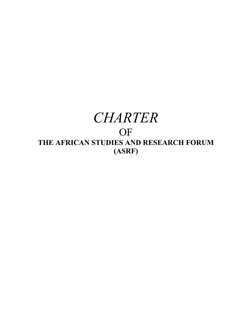# *CHARTER* OF **THE AFRICAN STUDIES AND RESEARCH FORUM (ASRF)**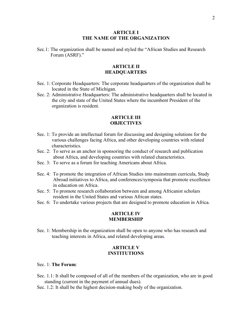## **ARTICLE I THE NAME OF THE ORGANIZATION**

Sec.1: The organization shall be named and styled the "African Studies and Research Forum (ASRF)."

# **ARTICLE II HEADQUARTERS**

- Sec. 1: Corporate Headquarters: The corporate headquarters of the organization shall be located in the State of Michigan.
- Sec. 2: Administrative Headquarters: The administrative headquarters shall be located in the city and state of the United States where the incumbent President of the organization is resident.

# **ARTICLE III OBJECTIVES**

- Sec. 1: To provide an intellectual forum for discussing and designing solutions for the various challenges facing Africa, and other developing countries with related characteristics.
- Sec. 2: To serve as an anchor in sponsoring the conduct of research and publication about Africa, and developing countries with related characteristics.
- Sec. 3: To serve as a forum for teaching Americans about Africa.
- Sec. 4: To promote the integration of African Studies into mainstream curricula, Study Abroad initiatives to Africa, and conferences/symposia that promote excellence in education on Africa.
- Sec. 5: To promote research collaboration between and among Africanist scholars resident in the United States and various African states.
- Sec. 6: To undertake various projects that are designed to promote education in Africa.

## **ARTICLE IV MEMBERSHIP**

Sec. 1: Membership in the organization shall be open to anyone who has research and teaching interests in Africa, and related developing areas.

# **ARTICLE V INSTITUTIONS**

## Sec. 1: **The Forum**:

- Sec. 1.1: It shall be composed of all of the members of the organization, who are in good standing (current in the payment of annual dues).
- Sec. 1.2: It shall be the highest decision-making body of the organization.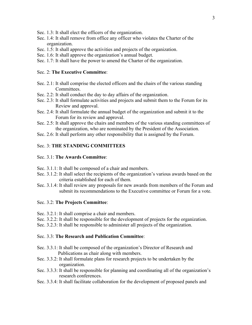- Sec. 1.3: It shall elect the officers of the organization.
- Sec. 1.4: It shall remove from office any officer who violates the Charter of the organization.
- Sec. 1.5: It shall approve the activities and projects of the organization.
- Sec. 1.6: It shall approve the organization's annual budget.
- Sec. 1.7: It shall have the power to amend the Charter of the organization.

## Sec. 2: **The Executive Committee**:

- Sec. 2.1: It shall comprise the elected officers and the chairs of the various standing Committees.
- Sec. 2.2: It shall conduct the day to day affairs of the organization.
- Sec. 2.3: It shall formulate activities and projects and submit them to the Forum for its Review and approval.
- Sec. 2.4: It shall formulate the annual budget of the organization and submit it to the Forum for its review and approval.
- Sec. 2.5: It shall approve the chairs and members of the various standing committees of the organization, who are nominated by the President of the Association.
- Sec. 2.6: It shall perform any other responsibility that is assigned by the Forum.

# Sec. 3: **THE STANDING COMMITTEES**

## Sec. 3.1: **The Awards Committee**:

- Sec. 3.1.1: It shall be composed of a chair and members.
- Sec. 3.1.2: It shall select the recipients of the organization's various awards based on the criteria established for each of them.
- Sec. 3.1.4: It shall review any proposals for new awards from members of the Forum and submit its recommendations to the Executive committee or Forum for a vote.

#### Sec. 3.2: **The Projects Committee**:

- Sec. 3.2.1: It shall comprise a chair and members.
- Sec. 3.2.2: It shall be responsible for the development of projects for the organization.
- Sec. 3.2.3: It shall be responsible to administer all projects of the organization.

#### Sec. 3.3: **The Research and Publication Committee**:

- Sec. 3.3.1: It shall be composed of the organization's Director of Research and Publications as chair along with members.
- Sec. 3.3.2: It shall formulate plans for research projects to be undertaken by the organization.
- Sec. 3.3.3: It shall be responsible for planning and coordinating all of the organization's research conferences.
- Sec. 3.3.4: It shall facilitate collaboration for the development of proposed panels and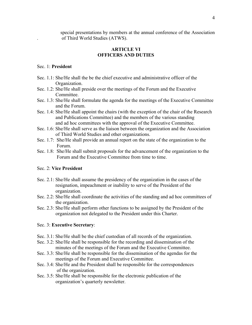special presentations by members at the annual conference of the Association . of Third World Studies (ATWS).

# **ARTICLE VI OFFICERS AND DUTIES**

## Sec. 1: **President**

- Sec. 1.1: She/He shall the be the chief executive and administrative officer of the Organization.
- Sec. 1.2: She/He shall preside over the meetings of the Forum and the Executive Committee.
- Sec. 1.3: She/He shall formulate the agenda for the meetings of the Executive Committee and the Forum.
- Sec. 1.4: She/He shall appoint the chairs (with the exception of the chair of the Research and Publications Committee) and the members of the various standing and ad hoc committees with the approval of the Executive Committee.
- Sec. 1.6: She/He shall serve as the liaison between the organization and the Association of Third World Studies and other organizations.
- Sec. 1.7: She/He shall provide an annual report on the state of the organization to the Forum.
- Sec. 1.8: She/He shall submit proposals for the advancement of the organization to the Forum and the Executive Committee from time to time.

## Sec. 2: **Vice President**

- Sec. 2.1: She/He shall assume the presidency of the organization in the cases of the resignation, impeachment or inability to serve of the President of the organization.
- Sec. 2.2: She/He shall coordinate the activities of the standing and ad hoc committees of the organization.
- Sec. 2.3: She/He shall perform other functions to be assigned by the President of the organization not delegated to the President under this Charter.

#### Sec. 3: **Executive Secretary**:

- Sec. 3.1: She/He shall be the chief custodian of all records of the organization.
- Sec. 3.2: She/He shall be responsible for the recording and dissemination of the minutes of the meetings of the Forum and the Executive Committee.
- Sec. 3.3: She/He shall be responsible for the dissemination of the agendas for the meetings of the Forum and Executive Committee.
- Sec. 3.4: She/He and the President shall be responsible for the correspondences of the organization.
- Sec. 3.5: She/He shall be responsible for the electronic publication of the organization's quarterly newsletter.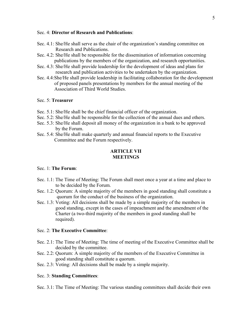## Sec. 4: **Director of Research and Publications**:

- Sec. 4.1: She/He shall serve as the chair of the organization's standing committee on Research and Publications.
- Sec. 4.2: She/He shall be responsible for the dissemination of information concerning publications by the members of the organization, and research opportunities.
- Sec. 4.3: She/He shall provide leadership for the development of ideas and plans for research and publication activities to be undertaken by the organization.
- Sec. 4.4:She/He shall provide leadership in facilitating collaboration for the development of proposed panels presentations by members for the annual meeting of the Association of Third World Studies.

# Sec. 5: **Treasurer**

- Sec. 5.1: She/He shall be the chief financial officer of the organization.
- Sec. 5.2: She/He shall be responsible for the collection of the annual dues and others.
- Sec. 5.3: She/He shall deposit all money of the organization in a bank to be approved by the Forum.
- Sec. 5.4: She/He shall make quarterly and annual financial reports to the Executive Committee and the Forum respectively.

# **ARTICLE VII MEETINGS**

## Sec. 1: **The Forum**:

- Sec. 1.1: The Time of Meeting: The Forum shall meet once a year at a time and place to to be decided by the Forum.
- Sec. 1.2: Quorum: A simple majority of the members in good standing shall constitute a quorum for the conduct of the business of the organization.
- Sec. 1.3: Voting: All decisions shall be made by a simple majority of the members in good standing, except in the cases of impeachment and the amendment of the Charter (a two-third majority of the members in good standing shall be required).

#### Sec. 2: **The Executive Committee**:

- Sec. 2.1: The Time of Meeting: The time of meeting of the Executive Committee shall be decided by the committee.
- Sec. 2.2: Quorum: A simple majority of the members of the Executive Committee in good standing shall constitute a quorum.
- Sec. 2.3: Voting: All decisions shall be made by a simple majority.

## Sec. 3: **Standing Committees**:

Sec. 3.1: The Time of Meeting: The various standing committees shall decide their own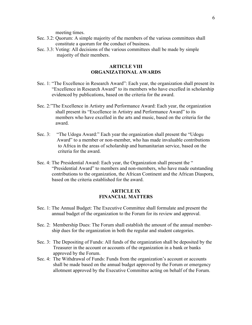meeting times.

- Sec. 3.2: Quorum: A simple majority of the members of the various committees shall constitute a quorum for the conduct of business.
- Sec. 3.3: Voting: All decisions of the various committees shall be made by simple majority of their members.

# **ARTICLE VIII ORGANIZATIONAL AWARDS**

- Sec. 1: "The Excellence in Research Award": Each year, the organization shall present its "Excellence in Research Award" to its members who have excelled in scholarship evidenced by publications, based on the criteria for the award.
- Sec. 2:"The Excellence in Artistry and Performance Award: Each year, the organization shall present its "Excellence in Artistry and Performance Award" to its members who have excelled in the arts and music, based on the criteria for the award.
- Sec. 3: "The Udogu Award:" Each year the organization shall present the "Udogu Award" to a member or non-member, who has made invaluable contributions to Africa in the areas of scholarship and humanitarian service, based on the criteria for the award.
- Sec. 4: The Presidential Award: Each year, the Organization shall present the " "Presidential Award" to members and non-members, who have made outstanding contributions to the organization, the African Continent and the African Diaspora, based on the criteria established for the award.

# **ARTICLE IX FINANCIAL MATTERS**

- Sec. 1: The Annual Budget: The Executive Committee shall formulate and present the annual budget of the organization to the Forum for its review and approval.
- Sec. 2: Membership Dues: The Forum shall establish the amount of the annual member ship dues for the organization in both the regular and student categories.
- Sec. 3: The Depositing of Funds: All funds of the organization shall be deposited by the Treasurer in the account or accounts of the organization in a bank or banks approved by the Forum.
- Sec. 4: The Withdrawal of Funds: Funds from the organization's account or accounts shall be made based on the annual budget approved by the Forum or emergency allotment approved by the Executive Committee acting on behalf of the Forum.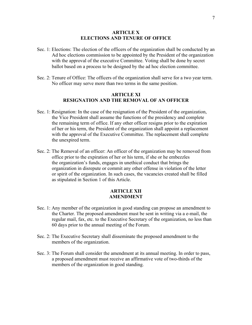## **ARTICLE X ELECTIONS AND TENURE OF OFFICE**

- Sec. 1: Elections: The election of the officers of the organization shall be conducted by an Ad hoc elections commission to be appointed by the President of the organization with the approval of the executive Committee. Voting shall be done by secret ballot based on a process to be designed by the ad hoc election committee.
- Sec. 2: Tenure of Office: The officers of the organization shall serve for a two year term. No officer may serve more than two terms in the same position.

# **ARTICLE XI RESIGNATION AND THE REMOVAL OF AN OFFICER**

- Sec. 1: Resignation: In the case of the resignation of the President of the organization, the Vice President shall assume the functions of the presidency and complete the remaining term of office. If any other officer resigns prior to the expiration of her or his term, the President of the organization shall appoint a replacement with the approval of the Executive Committee. The replacement shall complete the unexpired term.
- Sec. 2: The Removal of an officer: An officer of the organization may be removed from office prior to the expiration of her or his term, if she or he embezzles the organization's funds, engages in unethical conduct that brings the organization in disrepute or commit any other offense in violation of the letter or spirit of the organization. In such cases, the vacancies created shall be filled as stipulated in Section 1 of this Article.

# **ARTICLE XII AMENDMENT**

- Sec. 1: Any member of the organization in good standing can propose an amendment to the Charter. The proposed amendment must be sent in writing via a e-mail, the regular mail, fax, etc. to the Executive Secretary of the organization, no less than 60 days prior to the annual meeting of the Forum.
- Sec. 2: The Executive Secretary shall disseminate the proposed amendment to the members of the organization.
- Sec. 3: The Forum shall consider the amendment at its annual meeting. In order to pass, a proposed amendment must receive an affirmative vote of two-thirds of the members of the organization in good standing.